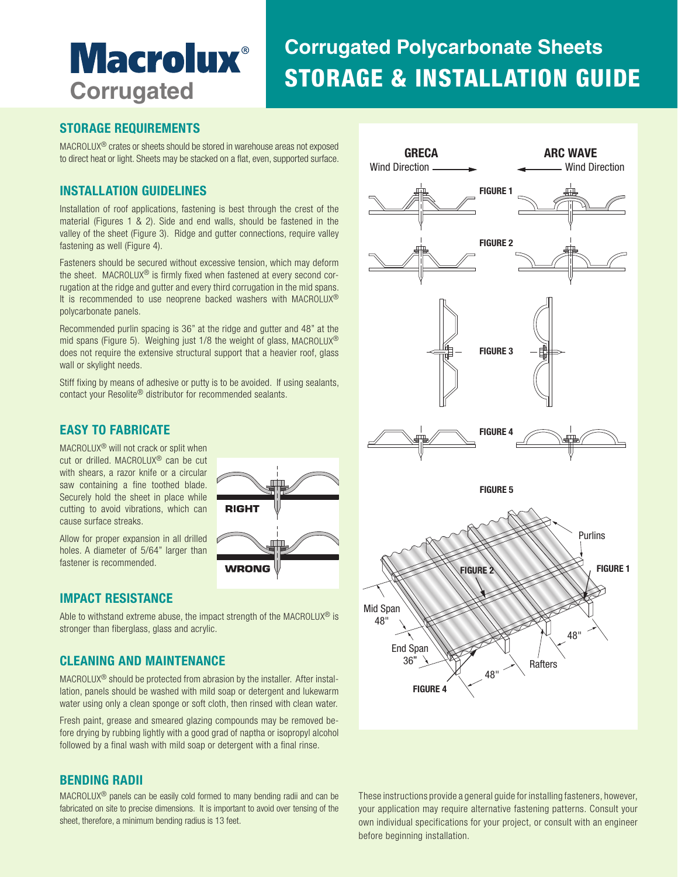# **Macrolux**® **Corrugated**

## STORAGE & INSTALLATION GUIDE **Corrugated Polycarbonate Sheets**

#### **STORAGE REQUIREMENTS**

MACROLUX® crates or sheets should be stored in warehouse areas not exposed to direct heat or light. Sheets may be stacked on a flat, even, supported surface.

#### **INSTALLATION GUIDELINES**

Installation of roof applications, fastening is best through the crest of the material (Figures 1 & 2). Side and end walls, should be fastened in the valley of the sheet (Figure 3). Ridge and gutter connections, require valley fastening as well (Figure 4).

Fasteners should be secured without excessive tension, which may deform the sheet. MACROLUX® is firmly fixed when fastened at every second corrugation at the ridge and gutter and every third corrugation in the mid spans. It is recommended to use neoprene backed washers with MACROLUX® polycarbonate panels.

Recommended purlin spacing is 36" at the ridge and gutter and 48" at the mid spans (Figure 5). Weighing just 1/8 the weight of glass, MACROLUX® does not require the extensive structural support that a heavier roof, glass wall or skylight needs.

Stiff fixing by means of adhesive or putty is to be avoided. If using sealants, contact your Resolite® distributor for recommended sealants.

#### **EASY TO FABRICATE**

MACROLUX® will not crack or split when cut or drilled. MACROLUX® can be cut with shears, a razor knife or a circular saw containing a fine toothed blade. Securely hold the sheet in place while cutting to avoid vibrations, which can cause surface streaks.

Allow for proper expansion in all drilled holes. A diameter of 5/64" larger than fastener is recommended.

#### **IMPACT RESISTANCE**

Able to withstand extreme abuse, the impact strength of the MACROLUX® is stronger than fiberglass, glass and acrylic.

**RIGH** 

WRONG

#### **CLEANING AND MAINTENANCE**

MACROLUX® should be protected from abrasion by the installer. After installation, panels should be washed with mild soap or detergent and lukewarm water using only a clean sponge or soft cloth, then rinsed with clean water.

Fresh paint, grease and smeared glazing compounds may be removed before drying by rubbing lightly with a good grad of naptha or isopropyl alcohol followed by a final wash with mild soap or detergent with a final rinse.

#### **BENDING RADII**

MACROLUX® panels can be easily cold formed to many bending radii and can be fabricated on site to precise dimensions. It is important to avoid over tensing of the sheet, therefore, a minimum bending radius is 13 feet.



These instructions provide a general guide for installing fasteners, however, your application may require alternative fastening patterns. Consult your own individual specifications for your project, or consult with an engineer before beginning installation.